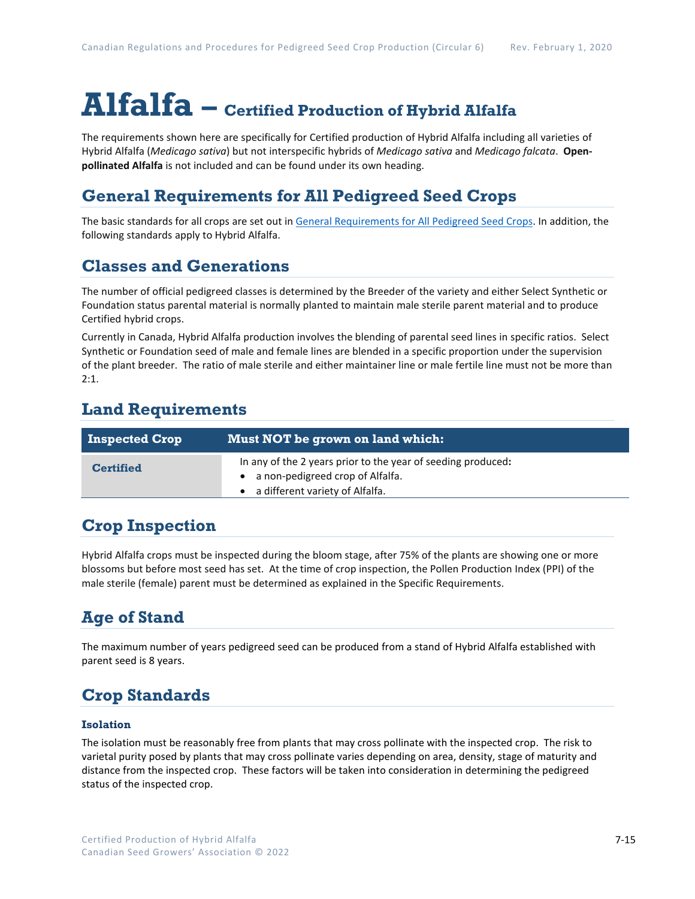# **Alfalfa – Certified Production of Hybrid Alfalfa**

The requirements shown here are specifically for Certified production of Hybrid Alfalfa including all varieties of Hybrid Alfalfa (*Medicago sativa*) but not interspecific hybrids of *Medicago sativa* and *Medicago falcata*. **Openpollinated Alfalfa** is not included and can be found under its own heading.

## **General Requirements for All Pedigreed Seed Crops**

The basic standards for all crops are set out i[n General Requirements for All Pedigreed Seed](https://seedgrowers.ca/wp-content/uploads/2020/01/GENERAL-REQUIREMENTS-ALL-CROPS_EN.pdf) Crops. In addition, the following standards apply to Hybrid Alfalfa.

## **Classes and Generations**

The number of official pedigreed classes is determined by the Breeder of the variety and either Select Synthetic or Foundation status parental material is normally planted to maintain male sterile parent material and to produce Certified hybrid crops.

Currently in Canada, Hybrid Alfalfa production involves the blending of parental seed lines in specific ratios. Select Synthetic or Foundation seed of male and female lines are blended in a specific proportion under the supervision of the plant breeder. The ratio of male sterile and either maintainer line or male fertile line must not be more than  $2.1$ 

## **Land Requirements**

| <b>Inspected Crop</b> | Must NOT be grown on land which:                                                                                                        |
|-----------------------|-----------------------------------------------------------------------------------------------------------------------------------------|
| <b>Certified</b>      | In any of the 2 years prior to the year of seeding produced:<br>• a non-pedigreed crop of Alfalfa.<br>• a different variety of Alfalfa. |
|                       |                                                                                                                                         |

## **Crop Inspection**

Hybrid Alfalfa crops must be inspected during the bloom stage, after 75% of the plants are showing one or more blossoms but before most seed has set. At the time of crop inspection, the Pollen Production Index (PPI) of the male sterile (female) parent must be determined as explained in the Specific Requirements.

# **Age of Stand**

The maximum number of years pedigreed seed can be produced from a stand of Hybrid Alfalfa established with parent seed is 8 years.

# **Crop Standards**

#### **Isolation**

The isolation must be reasonably free from plants that may cross pollinate with the inspected crop. The risk to varietal purity posed by plants that may cross pollinate varies depending on area, density, stage of maturity and distance from the inspected crop. These factors will be taken into consideration in determining the pedigreed status of the inspected crop.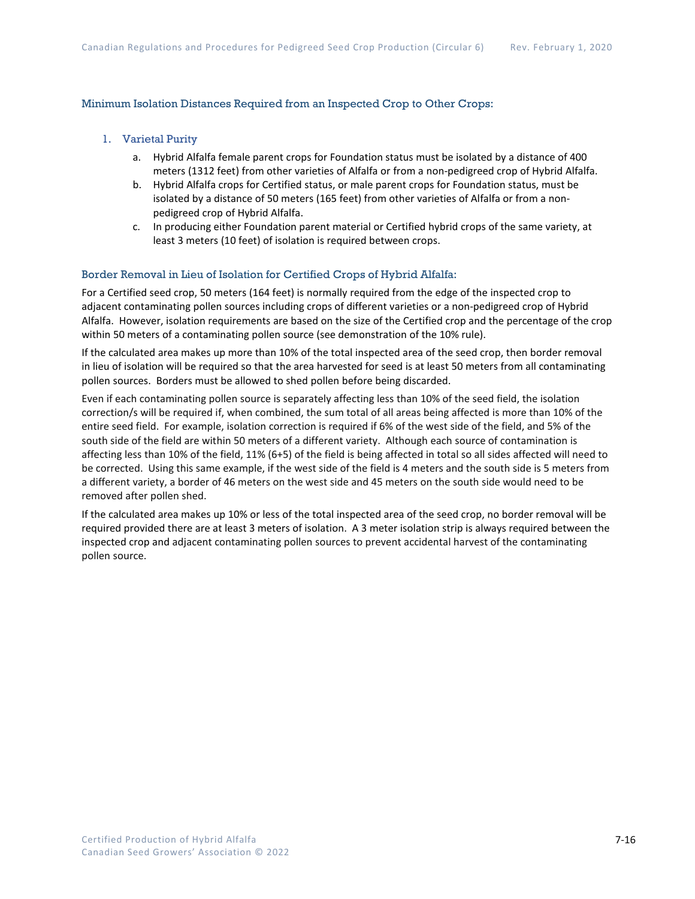#### Minimum Isolation Distances Required from an Inspected Crop to Other Crops:

- 1. Varietal Purity
	- a. Hybrid Alfalfa female parent crops for Foundation status must be isolated by a distance of 400 meters (1312 feet) from other varieties of Alfalfa or from a non-pedigreed crop of Hybrid Alfalfa.
	- b. Hybrid Alfalfa crops for Certified status, or male parent crops for Foundation status, must be isolated by a distance of 50 meters (165 feet) from other varieties of Alfalfa or from a nonpedigreed crop of Hybrid Alfalfa.
	- c. In producing either Foundation parent material or Certified hybrid crops of the same variety, at least 3 meters (10 feet) of isolation is required between crops.

#### Border Removal in Lieu of Isolation for Certified Crops of Hybrid Alfalfa:

For a Certified seed crop, 50 meters (164 feet) is normally required from the edge of the inspected crop to adjacent contaminating pollen sources including crops of different varieties or a non-pedigreed crop of Hybrid Alfalfa. However, isolation requirements are based on the size of the Certified crop and the percentage of the crop within 50 meters of a contaminating pollen source (see demonstration of the 10% rule).

If the calculated area makes up more than 10% of the total inspected area of the seed crop, then border removal in lieu of isolation will be required so that the area harvested for seed is at least 50 meters from all contaminating pollen sources. Borders must be allowed to shed pollen before being discarded.

Even if each contaminating pollen source is separately affecting less than 10% of the seed field, the isolation correction/s will be required if, when combined, the sum total of all areas being affected is more than 10% of the entire seed field. For example, isolation correction is required if 6% of the west side of the field, and 5% of the south side of the field are within 50 meters of a different variety. Although each source of contamination is affecting less than 10% of the field, 11% (6+5) of the field is being affected in total so all sides affected will need to be corrected. Using this same example, if the west side of the field is 4 meters and the south side is 5 meters from a different variety, a border of 46 meters on the west side and 45 meters on the south side would need to be removed after pollen shed.

If the calculated area makes up 10% or less of the total inspected area of the seed crop, no border removal will be required provided there are at least 3 meters of isolation. A 3 meter isolation strip is always required between the inspected crop and adjacent contaminating pollen sources to prevent accidental harvest of the contaminating pollen source.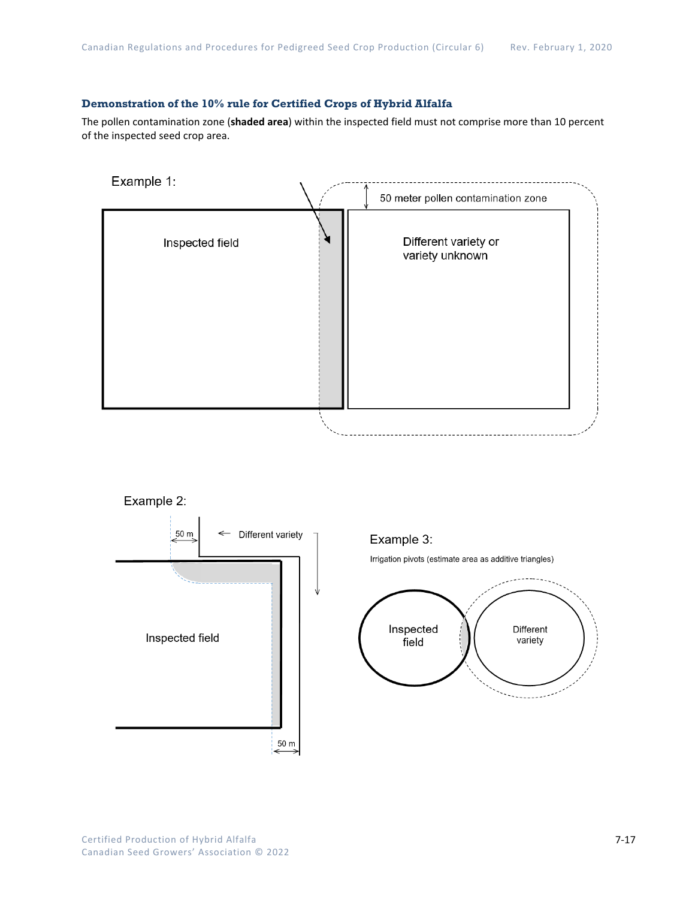#### **Demonstration of the 10% rule for Certified Crops of Hybrid Alfalfa**

The pollen contamination zone (**shaded area**) within the inspected field must not comprise more than 10 percent of the inspected seed crop area.







←